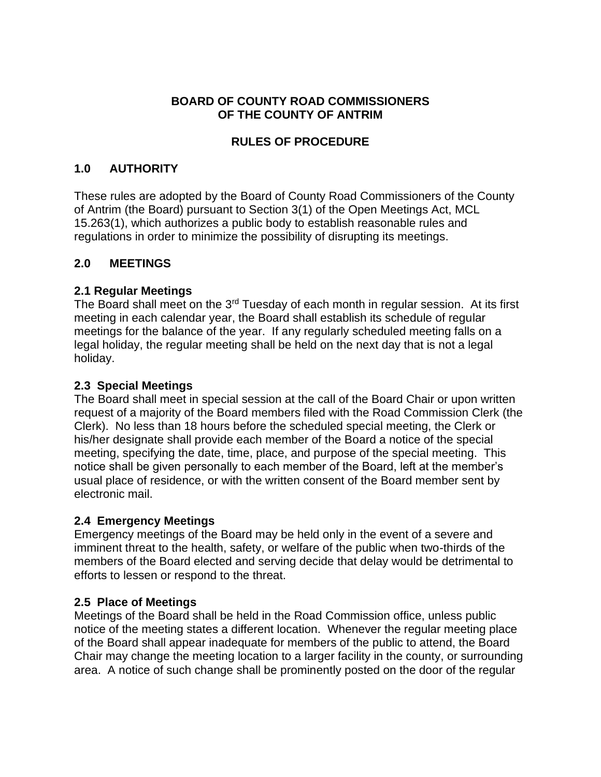#### **BOARD OF COUNTY ROAD COMMISSIONERS OF THE COUNTY OF ANTRIM**

### **RULES OF PROCEDURE**

### **1.0 AUTHORITY**

These rules are adopted by the Board of County Road Commissioners of the County of Antrim (the Board) pursuant to Section 3(1) of the Open Meetings Act, MCL 15.263(1), which authorizes a public body to establish reasonable rules and regulations in order to minimize the possibility of disrupting its meetings.

### **2.0 MEETINGS**

### **2.1 Regular Meetings**

The Board shall meet on the 3<sup>rd</sup> Tuesday of each month in regular session. At its first meeting in each calendar year, the Board shall establish its schedule of regular meetings for the balance of the year. If any regularly scheduled meeting falls on a legal holiday, the regular meeting shall be held on the next day that is not a legal holiday.

### **2.3 Special Meetings**

The Board shall meet in special session at the call of the Board Chair or upon written request of a majority of the Board members filed with the Road Commission Clerk (the Clerk). No less than 18 hours before the scheduled special meeting, the Clerk or his/her designate shall provide each member of the Board a notice of the special meeting, specifying the date, time, place, and purpose of the special meeting. This notice shall be given personally to each member of the Board, left at the member's usual place of residence, or with the written consent of the Board member sent by electronic mail.

### **2.4 Emergency Meetings**

Emergency meetings of the Board may be held only in the event of a severe and imminent threat to the health, safety, or welfare of the public when two-thirds of the members of the Board elected and serving decide that delay would be detrimental to efforts to lessen or respond to the threat.

# **2.5 Place of Meetings**

Meetings of the Board shall be held in the Road Commission office, unless public notice of the meeting states a different location. Whenever the regular meeting place of the Board shall appear inadequate for members of the public to attend, the Board Chair may change the meeting location to a larger facility in the county, or surrounding area. A notice of such change shall be prominently posted on the door of the regular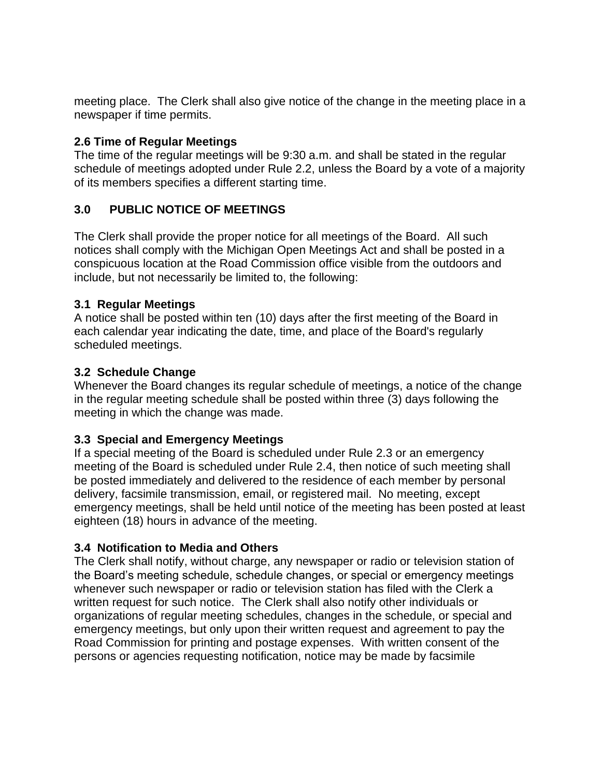meeting place. The Clerk shall also give notice of the change in the meeting place in a newspaper if time permits.

#### **2.6 Time of Regular Meetings**

The time of the regular meetings will be 9:30 a.m. and shall be stated in the regular schedule of meetings adopted under Rule 2.2, unless the Board by a vote of a majority of its members specifies a different starting time.

### **3.0 PUBLIC NOTICE OF MEETINGS**

The Clerk shall provide the proper notice for all meetings of the Board. All such notices shall comply with the Michigan Open Meetings Act and shall be posted in a conspicuous location at the Road Commission office visible from the outdoors and include, but not necessarily be limited to, the following:

#### **3.1 Regular Meetings**

A notice shall be posted within ten (10) days after the first meeting of the Board in each calendar year indicating the date, time, and place of the Board's regularly scheduled meetings.

#### **3.2 Schedule Change**

Whenever the Board changes its regular schedule of meetings, a notice of the change in the regular meeting schedule shall be posted within three (3) days following the meeting in which the change was made.

### **3.3 Special and Emergency Meetings**

If a special meeting of the Board is scheduled under Rule 2.3 or an emergency meeting of the Board is scheduled under Rule 2.4, then notice of such meeting shall be posted immediately and delivered to the residence of each member by personal delivery, facsimile transmission, email, or registered mail. No meeting, except emergency meetings, shall be held until notice of the meeting has been posted at least eighteen (18) hours in advance of the meeting.

### **3.4 Notification to Media and Others**

The Clerk shall notify, without charge, any newspaper or radio or television station of the Board's meeting schedule, schedule changes, or special or emergency meetings whenever such newspaper or radio or television station has filed with the Clerk a written request for such notice. The Clerk shall also notify other individuals or organizations of regular meeting schedules, changes in the schedule, or special and emergency meetings, but only upon their written request and agreement to pay the Road Commission for printing and postage expenses. With written consent of the persons or agencies requesting notification, notice may be made by facsimile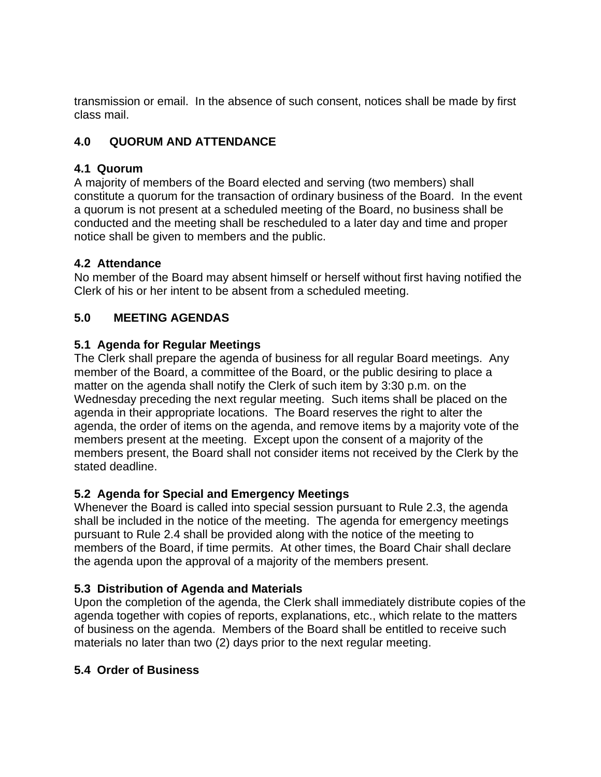transmission or email. In the absence of such consent, notices shall be made by first class mail.

# **4.0 QUORUM AND ATTENDANCE**

### **4.1 Quorum**

A majority of members of the Board elected and serving (two members) shall constitute a quorum for the transaction of ordinary business of the Board. In the event a quorum is not present at a scheduled meeting of the Board, no business shall be conducted and the meeting shall be rescheduled to a later day and time and proper notice shall be given to members and the public.

# **4.2 Attendance**

No member of the Board may absent himself or herself without first having notified the Clerk of his or her intent to be absent from a scheduled meeting.

# **5.0 MEETING AGENDAS**

# **5.1 Agenda for Regular Meetings**

The Clerk shall prepare the agenda of business for all regular Board meetings. Any member of the Board, a committee of the Board, or the public desiring to place a matter on the agenda shall notify the Clerk of such item by 3:30 p.m. on the Wednesday preceding the next regular meeting. Such items shall be placed on the agenda in their appropriate locations. The Board reserves the right to alter the agenda, the order of items on the agenda, and remove items by a majority vote of the members present at the meeting. Except upon the consent of a majority of the members present, the Board shall not consider items not received by the Clerk by the stated deadline.

# **5.2 Agenda for Special and Emergency Meetings**

Whenever the Board is called into special session pursuant to Rule 2.3, the agenda shall be included in the notice of the meeting. The agenda for emergency meetings pursuant to Rule 2.4 shall be provided along with the notice of the meeting to members of the Board, if time permits. At other times, the Board Chair shall declare the agenda upon the approval of a majority of the members present.

# **5.3 Distribution of Agenda and Materials**

Upon the completion of the agenda, the Clerk shall immediately distribute copies of the agenda together with copies of reports, explanations, etc., which relate to the matters of business on the agenda. Members of the Board shall be entitled to receive such materials no later than two (2) days prior to the next regular meeting.

# **5.4 Order of Business**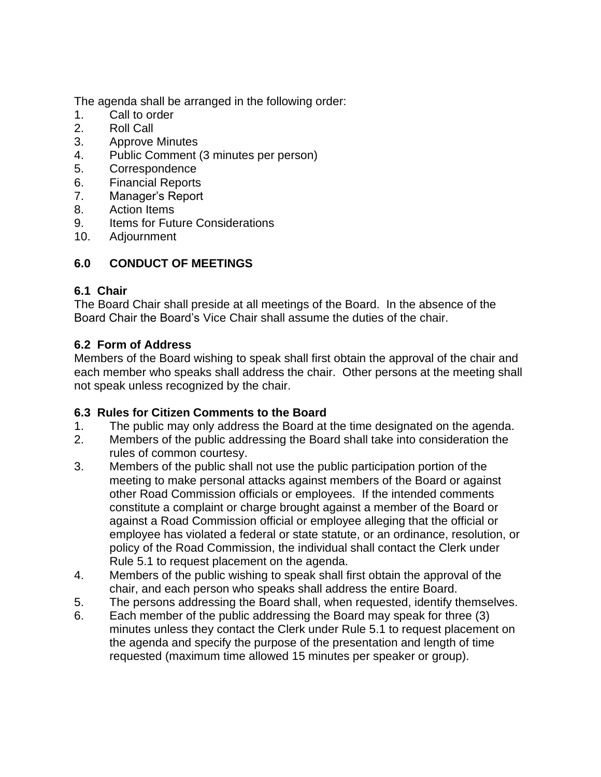The agenda shall be arranged in the following order:

- 1. Call to order
- 2. Roll Call
- 3. Approve Minutes
- 4. Public Comment (3 minutes per person)
- 5. Correspondence
- 6. Financial Reports
- 7. Manager's Report
- 8. Action Items
- 9. Items for Future Considerations
- 10. Adjournment

# **6.0 CONDUCT OF MEETINGS**

### **6.1 Chair**

The Board Chair shall preside at all meetings of the Board. In the absence of the Board Chair the Board's Vice Chair shall assume the duties of the chair.

# **6.2 Form of Address**

Members of the Board wishing to speak shall first obtain the approval of the chair and each member who speaks shall address the chair. Other persons at the meeting shall not speak unless recognized by the chair.

# **6.3 Rules for Citizen Comments to the Board**

- 1. The public may only address the Board at the time designated on the agenda.
- 2. Members of the public addressing the Board shall take into consideration the rules of common courtesy.
- 3. Members of the public shall not use the public participation portion of the meeting to make personal attacks against members of the Board or against other Road Commission officials or employees. If the intended comments constitute a complaint or charge brought against a member of the Board or against a Road Commission official or employee alleging that the official or employee has violated a federal or state statute, or an ordinance, resolution, or policy of the Road Commission, the individual shall contact the Clerk under Rule 5.1 to request placement on the agenda.
- 4. Members of the public wishing to speak shall first obtain the approval of the chair, and each person who speaks shall address the entire Board.
- 5. The persons addressing the Board shall, when requested, identify themselves.
- 6. Each member of the public addressing the Board may speak for three (3) minutes unless they contact the Clerk under Rule 5.1 to request placement on the agenda and specify the purpose of the presentation and length of time requested (maximum time allowed 15 minutes per speaker or group).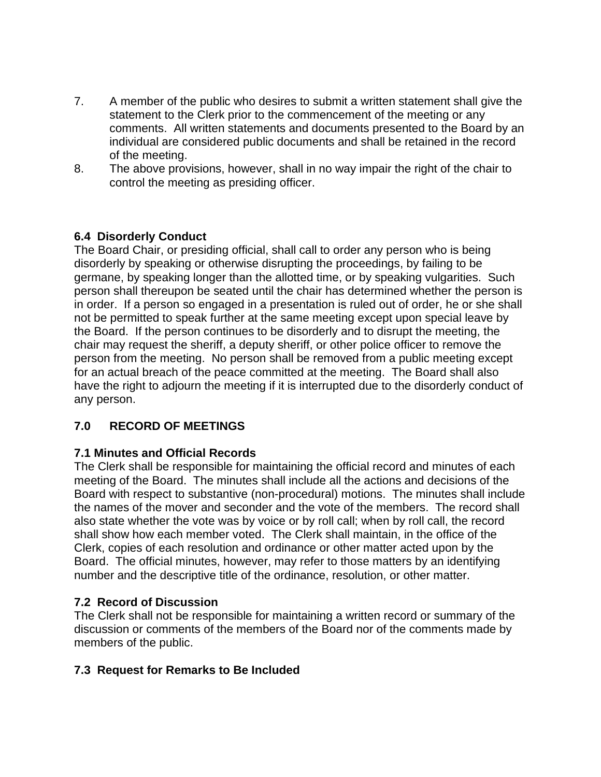- 7. A member of the public who desires to submit a written statement shall give the statement to the Clerk prior to the commencement of the meeting or any comments. All written statements and documents presented to the Board by an individual are considered public documents and shall be retained in the record of the meeting.
- 8. The above provisions, however, shall in no way impair the right of the chair to control the meeting as presiding officer.

### **6.4 Disorderly Conduct**

The Board Chair, or presiding official, shall call to order any person who is being disorderly by speaking or otherwise disrupting the proceedings, by failing to be germane, by speaking longer than the allotted time, or by speaking vulgarities. Such person shall thereupon be seated until the chair has determined whether the person is in order. If a person so engaged in a presentation is ruled out of order, he or she shall not be permitted to speak further at the same meeting except upon special leave by the Board. If the person continues to be disorderly and to disrupt the meeting, the chair may request the sheriff, a deputy sheriff, or other police officer to remove the person from the meeting. No person shall be removed from a public meeting except for an actual breach of the peace committed at the meeting. The Board shall also have the right to adjourn the meeting if it is interrupted due to the disorderly conduct of any person.

# **7.0 RECORD OF MEETINGS**

### **7.1 Minutes and Official Records**

The Clerk shall be responsible for maintaining the official record and minutes of each meeting of the Board. The minutes shall include all the actions and decisions of the Board with respect to substantive (non-procedural) motions. The minutes shall include the names of the mover and seconder and the vote of the members. The record shall also state whether the vote was by voice or by roll call; when by roll call, the record shall show how each member voted. The Clerk shall maintain, in the office of the Clerk, copies of each resolution and ordinance or other matter acted upon by the Board. The official minutes, however, may refer to those matters by an identifying number and the descriptive title of the ordinance, resolution, or other matter.

### **7.2 Record of Discussion**

The Clerk shall not be responsible for maintaining a written record or summary of the discussion or comments of the members of the Board nor of the comments made by members of the public.

### **7.3 Request for Remarks to Be Included**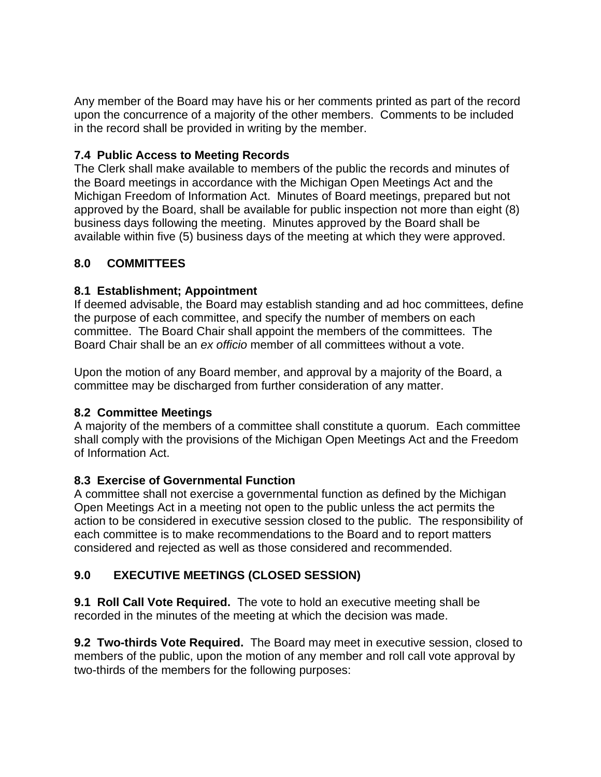Any member of the Board may have his or her comments printed as part of the record upon the concurrence of a majority of the other members. Comments to be included in the record shall be provided in writing by the member.

### **7.4 Public Access to Meeting Records**

The Clerk shall make available to members of the public the records and minutes of the Board meetings in accordance with the Michigan Open Meetings Act and the Michigan Freedom of Information Act. Minutes of Board meetings, prepared but not approved by the Board, shall be available for public inspection not more than eight (8) business days following the meeting. Minutes approved by the Board shall be available within five (5) business days of the meeting at which they were approved.

# **8.0 COMMITTEES**

### **8.1 Establishment; Appointment**

If deemed advisable, the Board may establish standing and ad hoc committees, define the purpose of each committee, and specify the number of members on each committee. The Board Chair shall appoint the members of the committees. The Board Chair shall be an *ex officio* member of all committees without a vote.

Upon the motion of any Board member, and approval by a majority of the Board, a committee may be discharged from further consideration of any matter.

### **8.2 Committee Meetings**

A majority of the members of a committee shall constitute a quorum. Each committee shall comply with the provisions of the Michigan Open Meetings Act and the Freedom of Information Act.

# **8.3 Exercise of Governmental Function**

A committee shall not exercise a governmental function as defined by the Michigan Open Meetings Act in a meeting not open to the public unless the act permits the action to be considered in executive session closed to the public. The responsibility of each committee is to make recommendations to the Board and to report matters considered and rejected as well as those considered and recommended.

# **9.0 EXECUTIVE MEETINGS (CLOSED SESSION)**

**9.1 Roll Call Vote Required.** The vote to hold an executive meeting shall be recorded in the minutes of the meeting at which the decision was made.

**9.2 Two-thirds Vote Required.** The Board may meet in executive session, closed to members of the public, upon the motion of any member and roll call vote approval by two-thirds of the members for the following purposes: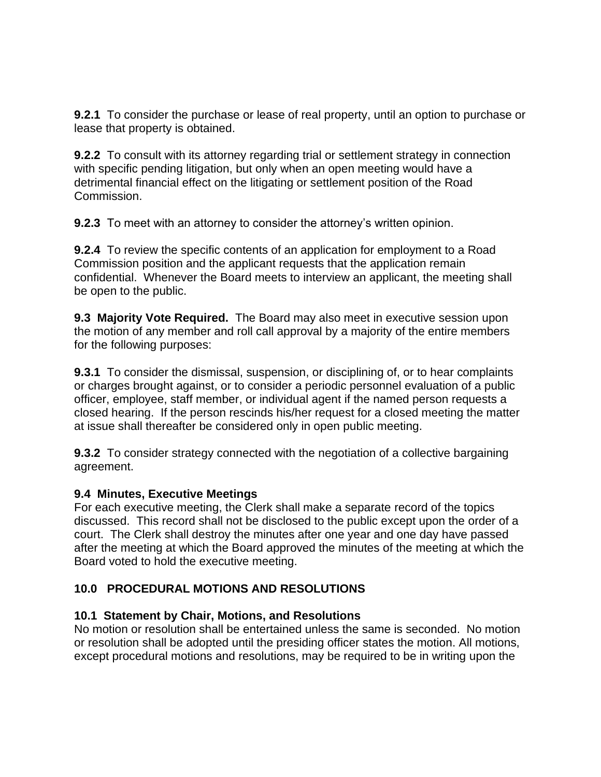**9.2.1** To consider the purchase or lease of real property, until an option to purchase or lease that property is obtained.

**9.2.2** To consult with its attorney regarding trial or settlement strategy in connection with specific pending litigation, but only when an open meeting would have a detrimental financial effect on the litigating or settlement position of the Road Commission.

**9.2.3** To meet with an attorney to consider the attorney's written opinion.

**9.2.4** To review the specific contents of an application for employment to a Road Commission position and the applicant requests that the application remain confidential. Whenever the Board meets to interview an applicant, the meeting shall be open to the public.

**9.3 Majority Vote Required.** The Board may also meet in executive session upon the motion of any member and roll call approval by a majority of the entire members for the following purposes:

**9.3.1** To consider the dismissal, suspension, or disciplining of, or to hear complaints or charges brought against, or to consider a periodic personnel evaluation of a public officer, employee, staff member, or individual agent if the named person requests a closed hearing. If the person rescinds his/her request for a closed meeting the matter at issue shall thereafter be considered only in open public meeting.

**9.3.2** To consider strategy connected with the negotiation of a collective bargaining agreement.

### **9.4 Minutes, Executive Meetings**

For each executive meeting, the Clerk shall make a separate record of the topics discussed. This record shall not be disclosed to the public except upon the order of a court. The Clerk shall destroy the minutes after one year and one day have passed after the meeting at which the Board approved the minutes of the meeting at which the Board voted to hold the executive meeting.

### **10.0 PROCEDURAL MOTIONS AND RESOLUTIONS**

#### **10.1 Statement by Chair, Motions, and Resolutions**

No motion or resolution shall be entertained unless the same is seconded. No motion or resolution shall be adopted until the presiding officer states the motion. All motions, except procedural motions and resolutions, may be required to be in writing upon the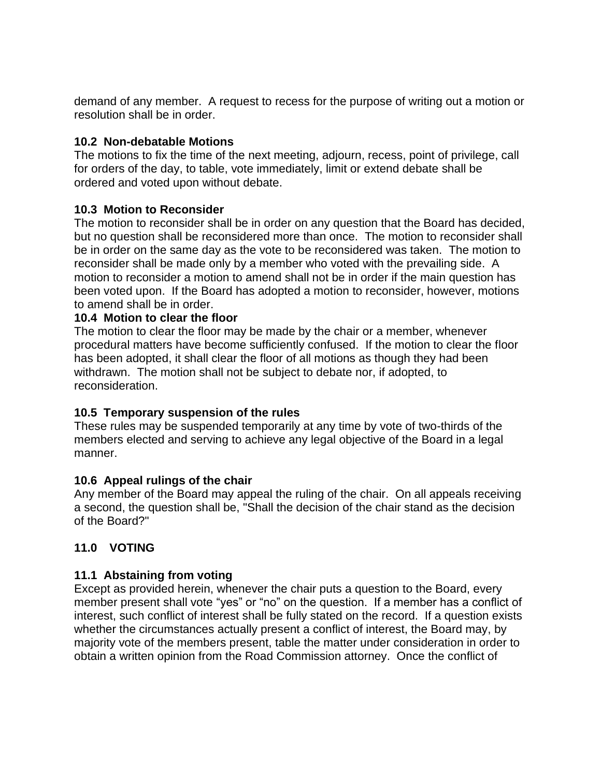demand of any member. A request to recess for the purpose of writing out a motion or resolution shall be in order.

#### **10.2 Non-debatable Motions**

The motions to fix the time of the next meeting, adjourn, recess, point of privilege, call for orders of the day, to table, vote immediately, limit or extend debate shall be ordered and voted upon without debate.

#### **10.3 Motion to Reconsider**

The motion to reconsider shall be in order on any question that the Board has decided, but no question shall be reconsidered more than once. The motion to reconsider shall be in order on the same day as the vote to be reconsidered was taken. The motion to reconsider shall be made only by a member who voted with the prevailing side. A motion to reconsider a motion to amend shall not be in order if the main question has been voted upon. If the Board has adopted a motion to reconsider, however, motions to amend shall be in order.

#### **10.4 Motion to clear the floor**

The motion to clear the floor may be made by the chair or a member, whenever procedural matters have become sufficiently confused. If the motion to clear the floor has been adopted, it shall clear the floor of all motions as though they had been withdrawn. The motion shall not be subject to debate nor, if adopted, to reconsideration.

#### **10.5 Temporary suspension of the rules**

These rules may be suspended temporarily at any time by vote of two-thirds of the members elected and serving to achieve any legal objective of the Board in a legal manner.

#### **10.6 Appeal rulings of the chair**

Any member of the Board may appeal the ruling of the chair. On all appeals receiving a second, the question shall be, "Shall the decision of the chair stand as the decision of the Board?"

### **11.0 VOTING**

### **11.1 Abstaining from voting**

Except as provided herein, whenever the chair puts a question to the Board, every member present shall vote "yes" or "no" on the question. If a member has a conflict of interest, such conflict of interest shall be fully stated on the record. If a question exists whether the circumstances actually present a conflict of interest, the Board may, by majority vote of the members present, table the matter under consideration in order to obtain a written opinion from the Road Commission attorney. Once the conflict of